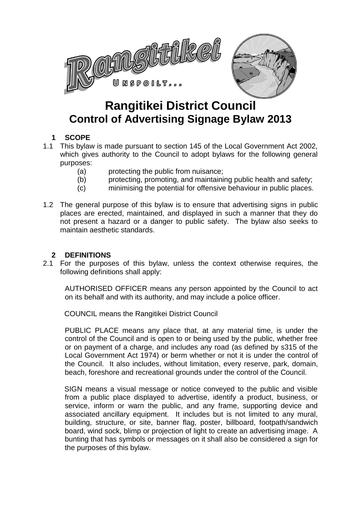

# **Rangitikei District Council Control of Advertising Signage Bylaw 2013**

# **1 SCOPE**

- 1.1 This bylaw is made pursuant to section 145 of the Local Government Act 2002, which gives authority to the Council to adopt bylaws for the following general purposes:
	- (a) protecting the public from nuisance;
	- (b) protecting, promoting, and maintaining public health and safety;
	- (c) minimising the potential for offensive behaviour in public places.
- 1.2 The general purpose of this bylaw is to ensure that advertising signs in public places are erected, maintained, and displayed in such a manner that they do not present a hazard or a danger to public safety. The bylaw also seeks to maintain aesthetic standards.

## **2 DEFINITIONS**

2.1 For the purposes of this bylaw, unless the context otherwise requires, the following definitions shall apply:

AUTHORISED OFFICER means any person appointed by the Council to act on its behalf and with its authority, and may include a police officer.

COUNCIL means the Rangitikei District Council

PUBLIC PLACE means any place that, at any material time, is under the control of the Council and is open to or being used by the public, whether free or on payment of a charge, and includes any road (as defined by s315 of the Local Government Act 1974) or berm whether or not it is under the control of the Council. It also includes, without limitation, every reserve, park, domain, beach, foreshore and recreational grounds under the control of the Council.

SIGN means a visual message or notice conveyed to the public and visible from a public place displayed to advertise, identify a product, business, or service, inform or warn the public, and any frame, supporting device and associated ancillary equipment. It includes but is not limited to any mural, building, structure, or site, banner flag, poster, billboard, footpath/sandwich board, wind sock, blimp or projection of light to create an advertising image. A bunting that has symbols or messages on it shall also be considered a sign for the purposes of this bylaw.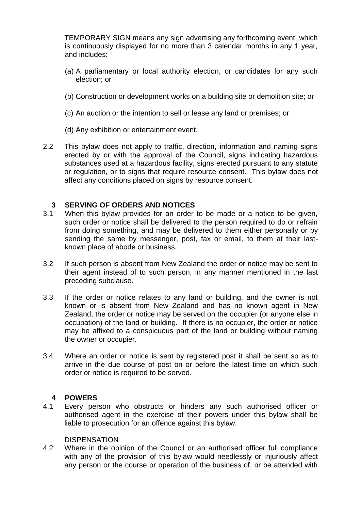TEMPORARY SIGN means any sign advertising any forthcoming event, which is continuously displayed for no more than 3 calendar months in any 1 year, and includes:

- (a) A parliamentary or local authority election, or candidates for any such election; or
- (b) Construction or development works on a building site or demolition site; or
- (c) An auction or the intention to sell or lease any land or premises; or
- (d) Any exhibition or entertainment event.
- 2.2 This bylaw does not apply to traffic, direction, information and naming signs erected by or with the approval of the Council, signs indicating hazardous substances used at a hazardous facility, signs erected pursuant to any statute or regulation, or to signs that require resource consent. This bylaw does not affect any conditions placed on signs by resource consent.

## **3 SERVING OF ORDERS AND NOTICES**

- 3.1 When this bylaw provides for an order to be made or a notice to be given, such order or notice shall be delivered to the person required to do or refrain from doing something, and may be delivered to them either personally or by sending the same by messenger, post, fax or email, to them at their lastknown place of abode or business.
- 3.2 If such person is absent from New Zealand the order or notice may be sent to their agent instead of to such person, in any manner mentioned in the last preceding subclause.
- 3.3 If the order or notice relates to any land or building, and the owner is not known or is absent from New Zealand and has no known agent in New Zealand, the order or notice may be served on the occupier (or anyone else in occupation) of the land or building. If there is no occupier, the order or notice may be affixed to a conspicuous part of the land or building without naming the owner or occupier.
- 3.4 Where an order or notice is sent by registered post it shall be sent so as to arrive in the due course of post on or before the latest time on which such order or notice is required to be served.

## **4 POWERS**

4.1 Every person who obstructs or hinders any such authorised officer or authorised agent in the exercise of their powers under this bylaw shall be liable to prosecution for an offence against this bylaw.

## **DISPENSATION**

4.2 Where in the opinion of the Council or an authorised officer full compliance with any of the provision of this bylaw would needlessly or injuriously affect any person or the course or operation of the business of, or be attended with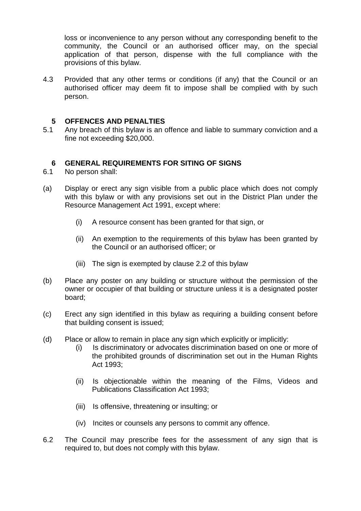loss or inconvenience to any person without any corresponding benefit to the community, the Council or an authorised officer may, on the special application of that person, dispense with the full compliance with the provisions of this bylaw.

4.3 Provided that any other terms or conditions (if any) that the Council or an authorised officer may deem fit to impose shall be complied with by such person.

#### **5 OFFENCES AND PENALTIES**

5.1 Any breach of this bylaw is an offence and liable to summary conviction and a fine not exceeding \$20,000.

#### **6 GENERAL REQUIREMENTS FOR SITING OF SIGNS**

- 6.1 No person shall:
- (a) Display or erect any sign visible from a public place which does not comply with this bylaw or with any provisions set out in the District Plan under the Resource Management Act 1991, except where:
	- (i) A resource consent has been granted for that sign, or
	- (ii) An exemption to the requirements of this bylaw has been granted by the Council or an authorised officer; or
	- (iii) The sign is exempted by clause 2.2 of this by law
- (b) Place any poster on any building or structure without the permission of the owner or occupier of that building or structure unless it is a designated poster board;
- (c) Erect any sign identified in this bylaw as requiring a building consent before that building consent is issued;
- (d) Place or allow to remain in place any sign which explicitly or implicitly:
	- (i) Is discriminatory or advocates discrimination based on one or more of the prohibited grounds of discrimination set out in the Human Rights Act 1993;
	- (ii) Is objectionable within the meaning of the Films, Videos and Publications Classification Act 1993;
	- (iii) Is offensive, threatening or insulting; or
	- (iv) Incites or counsels any persons to commit any offence.
- 6.2 The Council may prescribe fees for the assessment of any sign that is required to, but does not comply with this bylaw.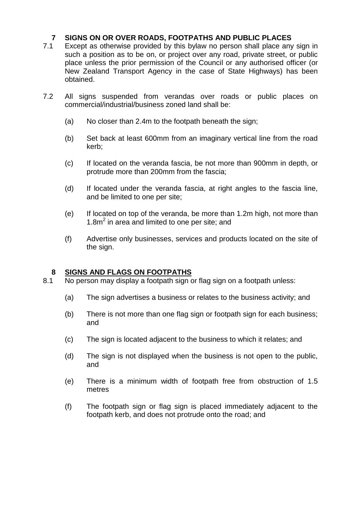## **7 SIGNS ON OR OVER ROADS, FOOTPATHS AND PUBLIC PLACES**

- 7.1 Except as otherwise provided by this bylaw no person shall place any sign in such a position as to be on, or project over any road, private street, or public place unless the prior permission of the Council or any authorised officer (or New Zealand Transport Agency in the case of State Highways) has been obtained.
- 7.2 All signs suspended from verandas over roads or public places on commercial/industrial/business zoned land shall be:
	- (a) No closer than 2.4m to the footpath beneath the sign;
	- (b) Set back at least 600mm from an imaginary vertical line from the road kerb;
	- (c) If located on the veranda fascia, be not more than 900mm in depth, or protrude more than 200mm from the fascia;
	- (d) If located under the veranda fascia, at right angles to the fascia line, and be limited to one per site;
	- (e) If located on top of the veranda, be more than 1.2m high, not more than 1.8m<sup>2</sup> in area and limited to one per site; and
	- (f) Advertise only businesses, services and products located on the site of the sign.

## **8 SIGNS AND FLAGS ON FOOTPATHS**

- 8.1 No person may display a footpath sign or flag sign on a footpath unless:
	- (a) The sign advertises a business or relates to the business activity; and
	- (b) There is not more than one flag sign or footpath sign for each business; and
	- (c) The sign is located adjacent to the business to which it relates; and
	- (d) The sign is not displayed when the business is not open to the public, and
	- (e) There is a minimum width of footpath free from obstruction of 1.5 metres
	- (f) The footpath sign or flag sign is placed immediately adjacent to the footpath kerb, and does not protrude onto the road; and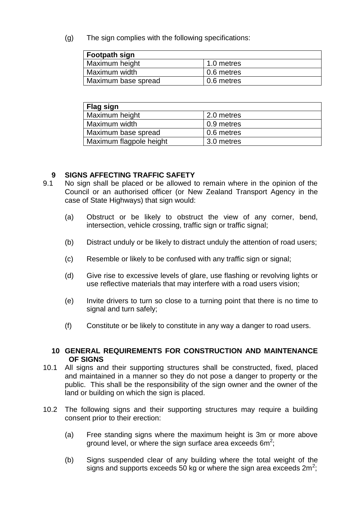(g) The sign complies with the following specifications:

| <b>Footpath sign</b> |            |
|----------------------|------------|
| Maximum height       | 1.0 metres |
| Maximum width        | 0.6 metres |
| Maximum base spread  | 0.6 metres |

| Flag sign               |            |
|-------------------------|------------|
| Maximum height          | 2.0 metres |
| Maximum width           | 0.9 metres |
| Maximum base spread     | 0.6 metres |
| Maximum flagpole height | 3.0 metres |

## **9 SIGNS AFFECTING TRAFFIC SAFETY**

- 9.1 No sign shall be placed or be allowed to remain where in the opinion of the Council or an authorised officer (or New Zealand Transport Agency in the case of State Highways) that sign would:
	- (a) Obstruct or be likely to obstruct the view of any corner, bend, intersection, vehicle crossing, traffic sign or traffic signal;
	- (b) Distract unduly or be likely to distract unduly the attention of road users;
	- (c) Resemble or likely to be confused with any traffic sign or signal;
	- (d) Give rise to excessive levels of glare, use flashing or revolving lights or use reflective materials that may interfere with a road users vision;
	- (e) Invite drivers to turn so close to a turning point that there is no time to signal and turn safely;
	- (f) Constitute or be likely to constitute in any way a danger to road users.

## **10 GENERAL REQUIREMENTS FOR CONSTRUCTION AND MAINTENANCE OF SIGNS**

- 10.1 All signs and their supporting structures shall be constructed, fixed, placed and maintained in a manner so they do not pose a danger to property or the public. This shall be the responsibility of the sign owner and the owner of the land or building on which the sign is placed.
- 10.2 The following signs and their supporting structures may require a building consent prior to their erection:
	- (a) Free standing signs where the maximum height is 3m or more above ground level, or where the sign surface area exceeds  $6m^2$ ;
	- (b) Signs suspended clear of any building where the total weight of the signs and supports exceeds 50 kg or where the sign area exceeds  $2m^2$ ;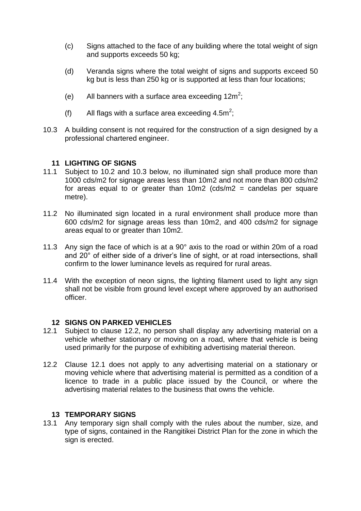- (c) Signs attached to the face of any building where the total weight of sign and supports exceeds 50 kg;
- (d) Veranda signs where the total weight of signs and supports exceed 50 kg but is less than 250 kg or is supported at less than four locations:
- (e) All banners with a surface area exceeding  $12m^2$ ;
- (f) All flags with a surface area exceeding  $4.5m^2$ ;
- 10.3 A building consent is not required for the construction of a sign designed by a professional chartered engineer.

## **11 LIGHTING OF SIGNS**

- 11.1 Subject to 10.2 and 10.3 below, no illuminated sign shall produce more than 1000 cds/m2 for signage areas less than 10m2 and not more than 800 cds/m2 for areas equal to or greater than  $10m2$  (cds/m2 = candelas per square metre).
- 11.2 No illuminated sign located in a rural environment shall produce more than 600 cds/m2 for signage areas less than 10m2, and 400 cds/m2 for signage areas equal to or greater than 10m2.
- 11.3 Any sign the face of which is at a 90° axis to the road or within 20m of a road and 20° of either side of a driver's line of sight, or at road intersections, shall confirm to the lower luminance levels as required for rural areas.
- 11.4 With the exception of neon signs, the lighting filament used to light any sign shall not be visible from ground level except where approved by an authorised officer.

## **12 SIGNS ON PARKED VEHICLES**

- 12.1 Subject to clause 12.2, no person shall display any advertising material on a vehicle whether stationary or moving on a road, where that vehicle is being used primarily for the purpose of exhibiting advertising material thereon.
- 12.2 Clause 12.1 does not apply to any advertising material on a stationary or moving vehicle where that advertising material is permitted as a condition of a licence to trade in a public place issued by the Council, or where the advertising material relates to the business that owns the vehicle.

## **13 TEMPORARY SIGNS**

13.1 Any temporary sign shall comply with the rules about the number, size, and type of signs, contained in the Rangitikei District Plan for the zone in which the sign is erected.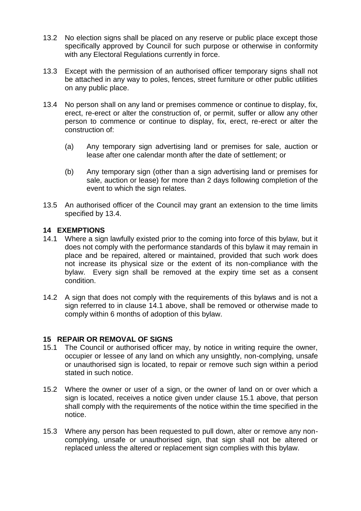- 13.2 No election signs shall be placed on any reserve or public place except those specifically approved by Council for such purpose or otherwise in conformity with any Electoral Regulations currently in force.
- 13.3 Except with the permission of an authorised officer temporary signs shall not be attached in any way to poles, fences, street furniture or other public utilities on any public place.
- 13.4 No person shall on any land or premises commence or continue to display, fix, erect, re-erect or alter the construction of, or permit, suffer or allow any other person to commence or continue to display, fix, erect, re-erect or alter the construction of:
	- (a) Any temporary sign advertising land or premises for sale, auction or lease after one calendar month after the date of settlement; or
	- (b) Any temporary sign (other than a sign advertising land or premises for sale, auction or lease) for more than 2 days following completion of the event to which the sign relates.
- 13.5 An authorised officer of the Council may grant an extension to the time limits specified by 13.4.

## **14 EXEMPTIONS**

- 14.1 Where a sign lawfully existed prior to the coming into force of this bylaw, but it does not comply with the performance standards of this bylaw it may remain in place and be repaired, altered or maintained, provided that such work does not increase its physical size or the extent of its non-compliance with the bylaw. Every sign shall be removed at the expiry time set as a consent condition.
- 14.2 A sign that does not comply with the requirements of this bylaws and is not a sign referred to in clause 14.1 above, shall be removed or otherwise made to comply within 6 months of adoption of this bylaw.

## **15 REPAIR OR REMOVAL OF SIGNS**

- 15.1 The Council or authorised officer may, by notice in writing require the owner, occupier or lessee of any land on which any unsightly, non-complying, unsafe or unauthorised sign is located, to repair or remove such sign within a period stated in such notice.
- 15.2 Where the owner or user of a sign, or the owner of land on or over which a sign is located, receives a notice given under clause 15.1 above, that person shall comply with the requirements of the notice within the time specified in the notice.
- 15.3 Where any person has been requested to pull down, alter or remove any noncomplying, unsafe or unauthorised sign, that sign shall not be altered or replaced unless the altered or replacement sign complies with this bylaw.